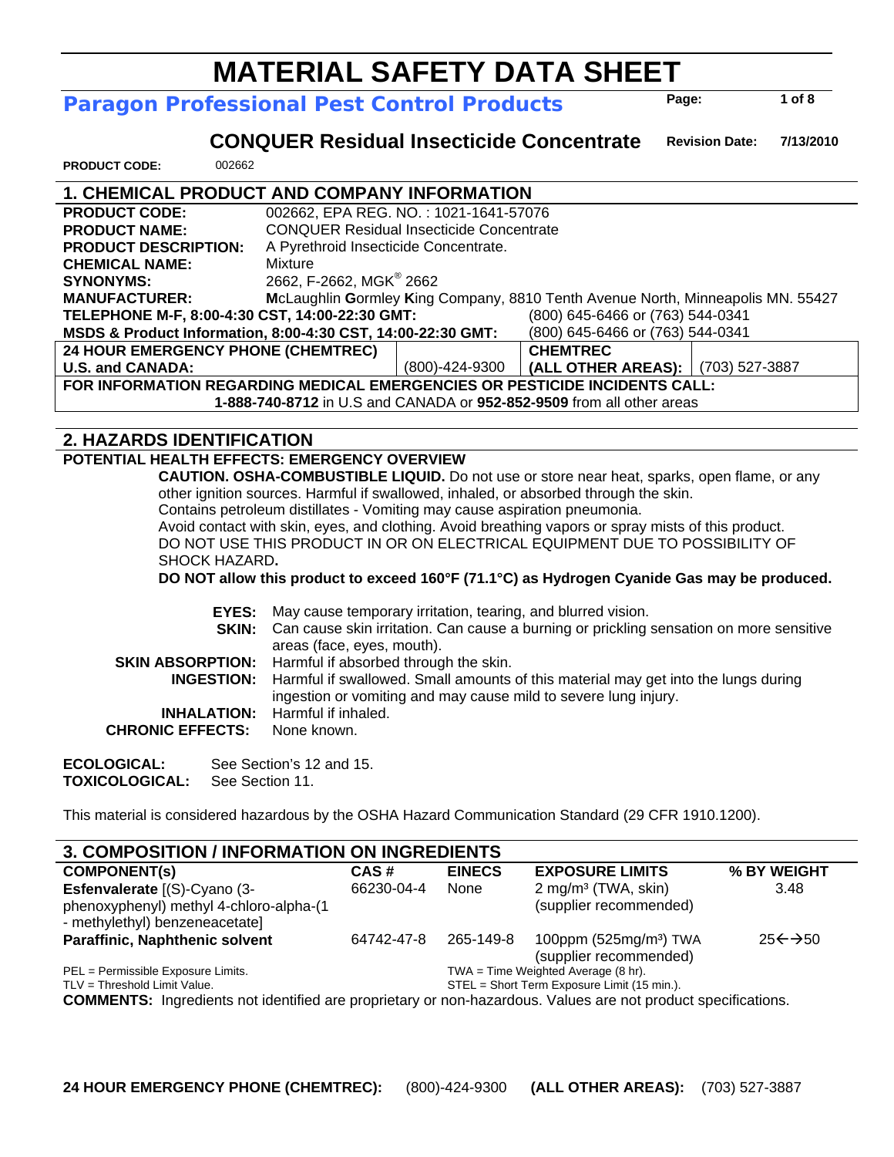#### **MATERIAL SAFETY DATA SHEET Paragon Professional Pest Control Products Page:**

 **CONQUER Residual Insecticide Concentrate Revision Date: 7/13/2010** 

**PRODUCT CODE:** 002662

### **1. CHEMICAL PRODUCT AND COMPANY INFORMATION**

| <b>PRODUCT CODE:</b>                                                               | 002662, EPA REG. NO.: 1021-1641-57076                                           |                |                                     |  |  |
|------------------------------------------------------------------------------------|---------------------------------------------------------------------------------|----------------|-------------------------------------|--|--|
| <b>PRODUCT NAME:</b>                                                               | <b>CONQUER Residual Insecticide Concentrate</b>                                 |                |                                     |  |  |
| <b>PRODUCT DESCRIPTION:</b>                                                        | A Pyrethroid Insecticide Concentrate.                                           |                |                                     |  |  |
| <b>CHEMICAL NAME:</b>                                                              | Mixture                                                                         |                |                                     |  |  |
| <b>SYNONYMS:</b>                                                                   | 2662, F-2662, MGK <sup>®</sup> 2662                                             |                |                                     |  |  |
| <b>MANUFACTURER:</b>                                                               | McLaughlin Gormley King Company, 8810 Tenth Avenue North, Minneapolis MN. 55427 |                |                                     |  |  |
| (800) 645-6466 or (763) 544-0341<br>TELEPHONE M-F, 8:00-4:30 CST, 14:00-22:30 GMT: |                                                                                 |                |                                     |  |  |
| MSDS & Product Information, 8:00-4:30 CST, 14:00-22:30 GMT:                        |                                                                                 |                | (800) 645-6466 or (763) 544-0341    |  |  |
| <b>24 HOUR EMERGENCY PHONE (CHEMTREC)</b>                                          |                                                                                 |                | <b>CHEMTREC</b>                     |  |  |
| <b>U.S. and CANADA:</b>                                                            |                                                                                 | (800)-424-9300 | (ALL OTHER AREAS):   (703) 527-3887 |  |  |
| FOR INFORMATION REGARDING MEDICAL EMERGENCIES OR PESTICIDE INCIDENTS CALL:         |                                                                                 |                |                                     |  |  |
| 1-888-740-8712 in U.S and CANADA or 952-852-9509 from all other areas              |                                                                                 |                |                                     |  |  |

#### **2. HAZARDS IDENTIFICATION**

#### **POTENTIAL HEALTH EFFECTS: EMERGENCY OVERVIEW**

 **CAUTION. OSHA-COMBUSTIBLE LIQUID.** Do not use or store near heat, sparks, open flame, or any other ignition sources. Harmful if swallowed, inhaled, or absorbed through the skin.

Contains petroleum distillates - Vomiting may cause aspiration pneumonia.

Avoid contact with skin, eyes, and clothing. Avoid breathing vapors or spray mists of this product. DO NOT USE THIS PRODUCT IN OR ON ELECTRICAL EQUIPMENT DUE TO POSSIBILITY OF SHOCK HAZARD**.** 

**DO NOT allow this product to exceed 160°F (71.1°C) as Hydrogen Cyanide Gas may be produced.** 

|                         | <b>EYES:</b> May cause temporary irritation, tearing, and blurred vision.<br><b>SKIN:</b> Can cause skin irritation. Can cause a burning or prickling sensation on more sensitive<br>areas (face, eyes, mouth). |
|-------------------------|-----------------------------------------------------------------------------------------------------------------------------------------------------------------------------------------------------------------|
|                         | <b>SKIN ABSORPTION:</b> Harmful if absorbed through the skin.                                                                                                                                                   |
|                         | <b>INGESTION:</b> Harmful if swallowed. Small amounts of this material may get into the lungs during<br>ingestion or vomiting and may cause mild to severe lung injury.                                         |
|                         | <b>INHALATION:</b> Harmful if inhaled.                                                                                                                                                                          |
| <b>CHRONIC EFFECTS:</b> | None known.                                                                                                                                                                                                     |
|                         |                                                                                                                                                                                                                 |

**ECOLOGICAL:** See Section's 12 and 15. **TOXICOLOGICAL:** See Section 11.

This material is considered hazardous by the OSHA Hazard Communication Standard (29 CFR 1910.1200).

| <b>3. COMPOSITION / INFORMATION ON INGREDIENTS</b>                                                                   |            |               |                                                              |                    |
|----------------------------------------------------------------------------------------------------------------------|------------|---------------|--------------------------------------------------------------|--------------------|
| <b>COMPONENT(S)</b>                                                                                                  | CAS#       | <b>EINECS</b> | <b>EXPOSURE LIMITS</b>                                       | % BY WEIGHT        |
| Esfenvalerate [(S)-Cyano (3-<br>phenoxyphenyl) methyl 4-chloro-alpha-(1<br>- methylethyl) benzeneacetate]            | 66230-04-4 | None          | 2 mg/m <sup>3</sup> (TWA, skin)<br>(supplier recommended)    | 3.48               |
| <b>Paraffinic, Naphthenic solvent</b>                                                                                | 64742-47-8 | 265-149-8     | 100ppm (525mg/m <sup>3</sup> ) TWA<br>(supplier recommended) | $25 \leftarrow 50$ |
| PEL = Permissible Exposure Limits.                                                                                   |            |               | $TWA = Time Weighted Average (8 hr).$                        |                    |
| TLV = Threshold Limit Value.                                                                                         |            |               | STEL = Short Term Exposure Limit (15 min.).                  |                    |
| <b>COMMENTS:</b> Ingredients not identified are proprietary or non-hazardous. Values are not product specifications. |            |               |                                                              |                    |

**1 of 8**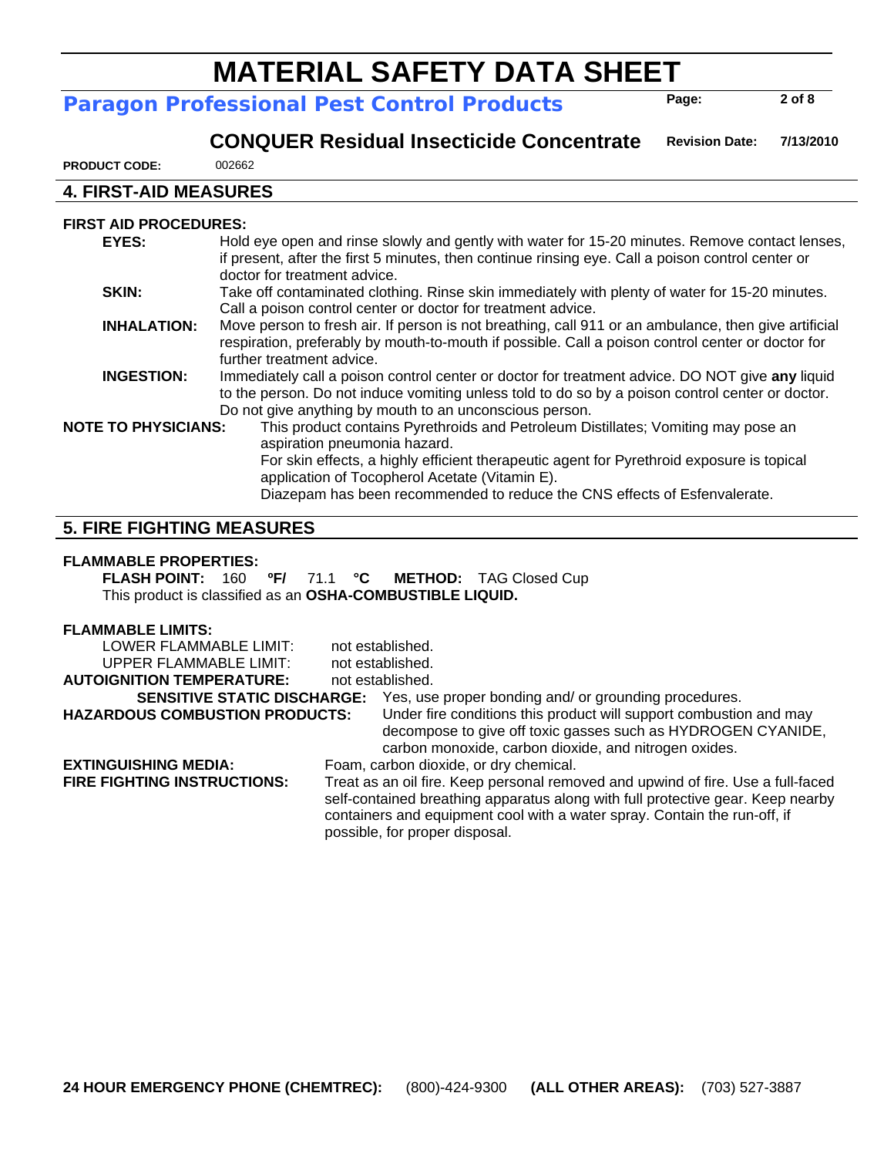## **Paragon Professional Pest Control Products**

**Revision Date:**

**Page:** 

**2 of 8** 

 **CONQUER Residual Insecticide Concentrate**

**7/13/2010** 

**PRODUCT CODE:** 002662

#### **4. FIRST-AID MEASURES**

#### **FIRST AID PROCEDURES:**

| EYES:                      | Hold eye open and rinse slowly and gently with water for 15-20 minutes. Remove contact lenses,<br>if present, after the first 5 minutes, then continue rinsing eye. Call a poison control center or |
|----------------------------|-----------------------------------------------------------------------------------------------------------------------------------------------------------------------------------------------------|
|                            | doctor for treatment advice.                                                                                                                                                                        |
| SKIN:                      | Take off contaminated clothing. Rinse skin immediately with plenty of water for 15-20 minutes.                                                                                                      |
|                            | Call a poison control center or doctor for treatment advice.                                                                                                                                        |
| <b>INHALATION:</b>         | Move person to fresh air. If person is not breathing, call 911 or an ambulance, then give artificial                                                                                                |
|                            | respiration, preferably by mouth-to-mouth if possible. Call a poison control center or doctor for                                                                                                   |
|                            | further treatment advice.                                                                                                                                                                           |
| <b>INGESTION:</b>          | Immediately call a poison control center or doctor for treatment advice. DO NOT give any liquid                                                                                                     |
|                            | to the person. Do not induce vomiting unless told to do so by a poison control center or doctor.                                                                                                    |
|                            | Do not give anything by mouth to an unconscious person.                                                                                                                                             |
| <b>NOTE TO PHYSICIANS:</b> | This product contains Pyrethroids and Petroleum Distillates; Vomiting may pose an                                                                                                                   |
|                            | aspiration pneumonia hazard.                                                                                                                                                                        |
|                            | For skin effects, a highly efficient therapeutic agent for Pyrethroid exposure is topical                                                                                                           |
|                            | application of Tocopherol Acetate (Vitamin E).                                                                                                                                                      |
|                            | Diazepam has been recommended to reduce the CNS effects of Esfenvalerate.                                                                                                                           |
|                            |                                                                                                                                                                                                     |

#### **5. FIRE FIGHTING MEASURES**

#### **FLAMMABLE PROPERTIES:**

**FLASH POINT:** 160 **ºF/** 71.1 **°C METHOD:** TAG Closed Cup This product is classified as an **OSHA-COMBUSTIBLE LIQUID.**

| <b>FLAMMABLE LIMITS:</b>              |                                                                                                                                                                                                                                                                                    |
|---------------------------------------|------------------------------------------------------------------------------------------------------------------------------------------------------------------------------------------------------------------------------------------------------------------------------------|
| LOWER FLAMMABLE LIMIT:                | not established.                                                                                                                                                                                                                                                                   |
| UPPER FLAMMABLE LIMIT:                | not established.                                                                                                                                                                                                                                                                   |
| <b>AUTOIGNITION TEMPERATURE:</b>      | not established.                                                                                                                                                                                                                                                                   |
| <b>SENSITIVE STATIC DISCHARGE:</b>    | Yes, use proper bonding and/ or grounding procedures.                                                                                                                                                                                                                              |
| <b>HAZARDOUS COMBUSTION PRODUCTS:</b> | Under fire conditions this product will support combustion and may                                                                                                                                                                                                                 |
|                                       | decompose to give off toxic gasses such as HYDROGEN CYANIDE,<br>carbon monoxide, carbon dioxide, and nitrogen oxides.                                                                                                                                                              |
| <b>EXTINGUISHING MEDIA:</b>           | Foam, carbon dioxide, or dry chemical.                                                                                                                                                                                                                                             |
| <b>FIRE FIGHTING INSTRUCTIONS:</b>    | Treat as an oil fire. Keep personal removed and upwind of fire. Use a full-faced<br>self-contained breathing apparatus along with full protective gear. Keep nearby<br>containers and equipment cool with a water spray. Contain the run-off, if<br>possible, for proper disposal. |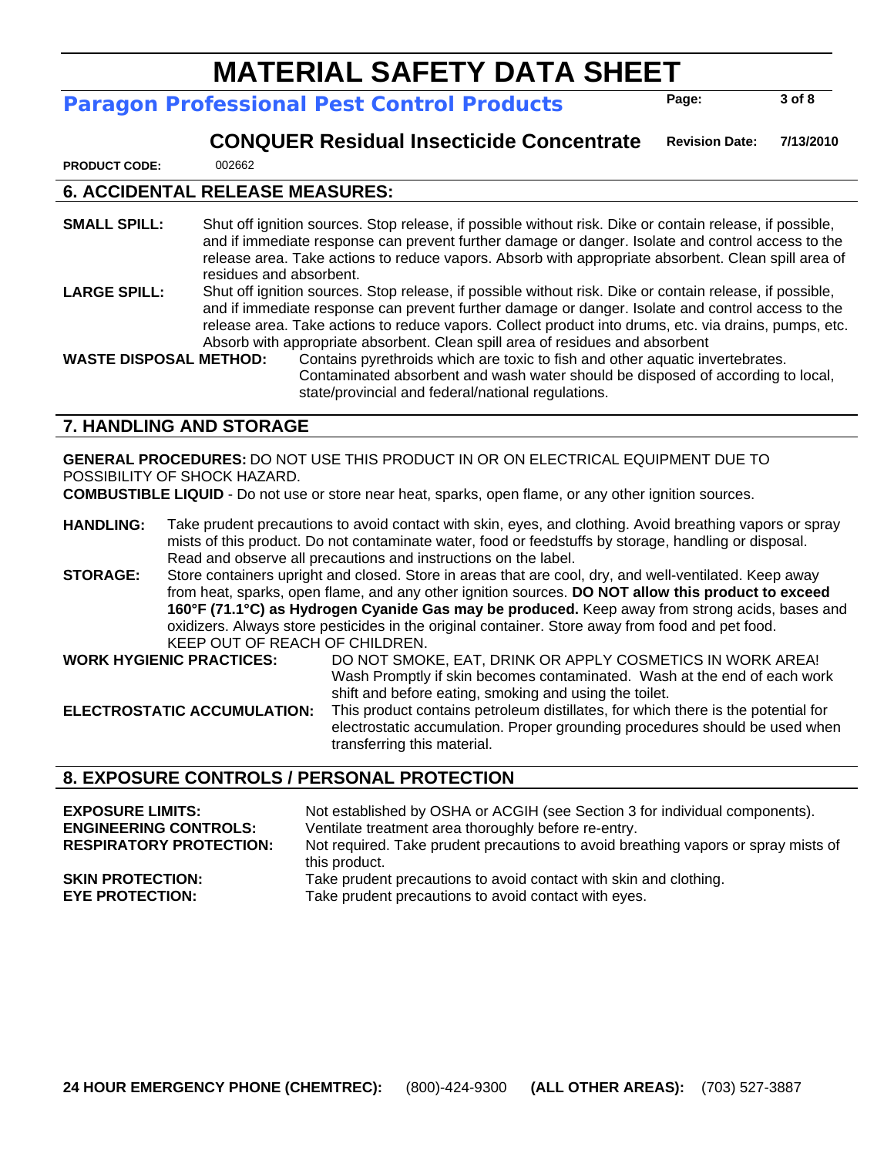## **Paragon Professional Pest Control Products**

**Page:** 

**3 of 8** 

#### **CONQUER Residual Insecticide Concentrate Revision Date: 7/13/2010**

**PRODUCT CODE:** 002662

#### **6. ACCIDENTAL RELEASE MEASURES:**

**SMALL SPILL:** Shut off ignition sources. Stop release, if possible without risk. Dike or contain release, if possible, and if immediate response can prevent further damage or danger. Isolate and control access to the release area. Take actions to reduce vapors. Absorb with appropriate absorbent. Clean spill area of residues and absorbent. LARGE SPILL: Shut off ignition sources. Stop release, if possible without risk. Dike or contain release, if possible, and if immediate response can prevent further damage or danger. Isolate and control access to the release area. Take actions to reduce vapors. Collect product into drums, etc. via drains, pumps, etc. Absorb with appropriate absorbent. Clean spill area of residues and absorbent

**WASTE DISPOSAL METHOD:** Contains pyrethroids which are toxic to fish and other aquatic invertebrates. Contaminated absorbent and wash water should be disposed of according to local, state/provincial and federal/national regulations.

#### **7. HANDLING AND STORAGE**

**GENERAL PROCEDURES:** DO NOT USE THIS PRODUCT IN OR ON ELECTRICAL EQUIPMENT DUE TO POSSIBILITY OF SHOCK HAZARD.

**COMBUSTIBLE LIQUID** - Do not use or store near heat, sparks, open flame, or any other ignition sources.

**HANDLING:** Take prudent precautions to avoid contact with skin, eyes, and clothing. Avoid breathing vapors or spray mists of this product. Do not contaminate water, food or feedstuffs by storage, handling or disposal. Read and observe all precautions and instructions on the label.

**STORAGE:** Store containers upright and closed. Store in areas that are cool, dry, and well-ventilated. Keep away from heat, sparks, open flame, and any other ignition sources. **DO NOT allow this product to exceed 160°F (71.1°C) as Hydrogen Cyanide Gas may be produced.** Keep away from strong acids, bases and oxidizers. Always store pesticides in the original container. Store away from food and pet food. KEEP OUT OF REACH OF CHILDREN.

**WORK HYGIENIC PRACTICES:** DO NOT SMOKE, EAT, DRINK OR APPLY COSMETICS IN WORK AREA! Wash Promptly if skin becomes contaminated. Wash at the end of each work shift and before eating, smoking and using the toilet.

**ELECTROSTATIC ACCUMULATION:** This product contains petroleum distillates, for which there is the potential for electrostatic accumulation. Proper grounding procedures should be used when transferring this material.

#### **8. EXPOSURE CONTROLS / PERSONAL PROTECTION**

| <b>EXPOSURE LIMITS:</b>        | Not established by OSHA or ACGIH (see Section 3 for individual components).                         |
|--------------------------------|-----------------------------------------------------------------------------------------------------|
| <b>ENGINEERING CONTROLS:</b>   | Ventilate treatment area thoroughly before re-entry.                                                |
| <b>RESPIRATORY PROTECTION:</b> | Not required. Take prudent precautions to avoid breathing vapors or spray mists of<br>this product. |
| <b>SKIN PROTECTION:</b>        | Take prudent precautions to avoid contact with skin and clothing.                                   |
| <b>EYE PROTECTION:</b>         | Take prudent precautions to avoid contact with eyes.                                                |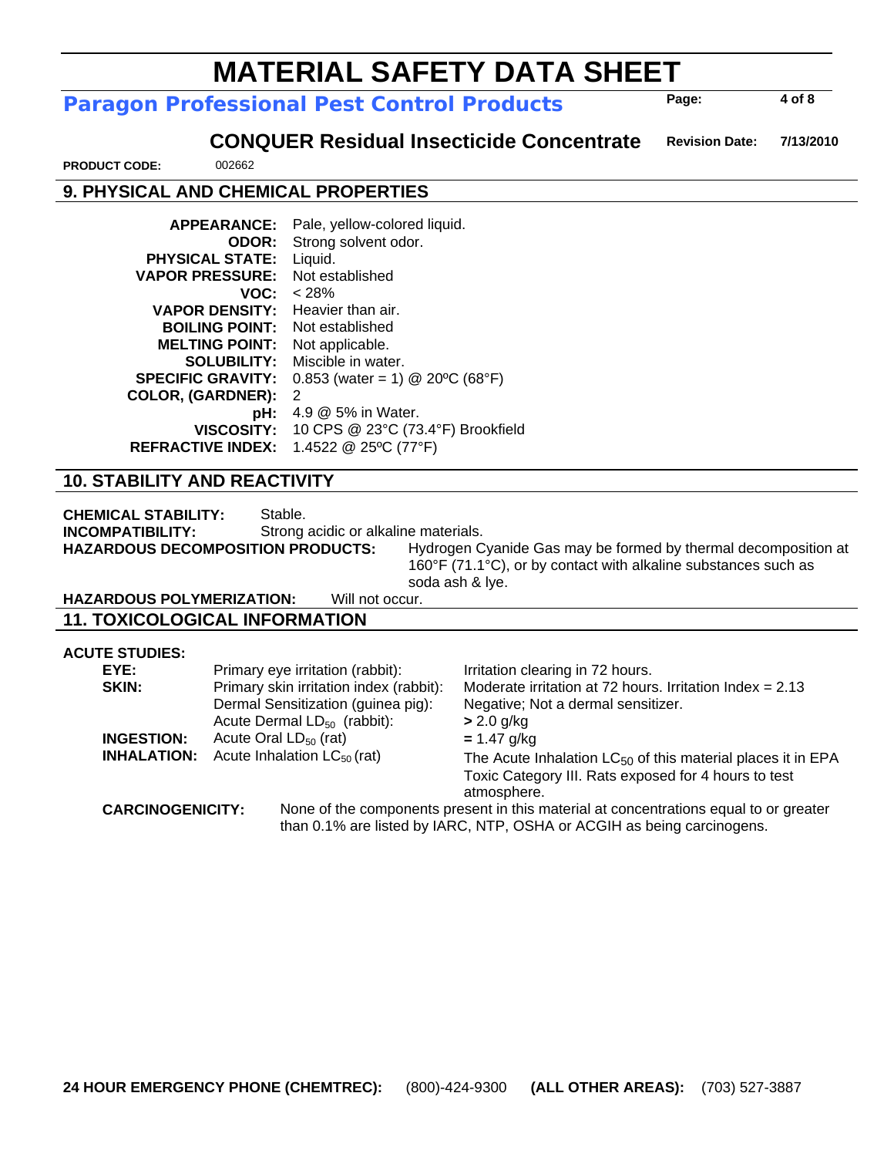than 0.1% are listed by IARC, NTP, OSHA or ACGIH as being carcinogens.

# **MATERIAL SAFETY DATA SHEET**

### **Paragon Professional Pest Control Products**

 **CONQUER Residual Insecticide Concentrate Revision Date: 7/13/2010** 

**PRODUCT CODE:** 002662

### **9. PHYSICAL AND CHEMICAL PROPERTIES**

| <b>APPEARANCE:</b>       | Pale, yellow-colored liquid.      |
|--------------------------|-----------------------------------|
| <b>ODOR:</b>             | Strong solvent odor.              |
| <b>PHYSICAL STATE:</b>   | Liquid.                           |
| <b>VAPOR PRESSURE:</b>   | Not established                   |
| VOC:                     | < 28%                             |
| <b>VAPOR DENSITY:</b>    | Heavier than air.                 |
| <b>BOILING POINT:</b>    | Not established                   |
| <b>MELTING POINT:</b>    | Not applicable.                   |
| <b>SOLUBILITY:</b>       | Miscible in water.                |
| <b>SPECIFIC GRAVITY:</b> | $0.853$ (water = 1) @ 20°C (68°F) |
| <b>COLOR, (GARDNER):</b> | 2                                 |
| pH:                      | 4.9 @ 5% in Water.                |
| <b>VISCOSITY:</b>        | 10 CPS @ 23°C (73.4°F) Brookfield |
| <b>REFRACTIVE INDEX:</b> | 1.4522 @ 25°C (77°F)              |

#### **10. STABILITY AND REACTIVITY**

**CHEMICAL STABILITY:** Stable. **INCOMPATIBILITY:** Strong acidic or alkaline materials. **HAZARDOUS DECOMPOSITION PRODUCTS:** Hydrogen Cyanide Gas may be formed by thermal decomposition at 160°F (71.1°C), or by contact with alkaline substances such as

soda ash & lye.

#### **HAZARDOUS POLYMERIZATION:** Will not occur. **11. TOXICOLOGICAL INFORMATION**

**ACUTE STUDIES:** 

| EYE:                    | Primary eye irritation (rabbit):        | Irritation clearing in 72 hours.                                                      |
|-------------------------|-----------------------------------------|---------------------------------------------------------------------------------------|
| SKIN:                   | Primary skin irritation index (rabbit): | Moderate irritation at 72 hours. Irritation Index = $2.13$                            |
|                         | Dermal Sensitization (guinea pig):      | Negative; Not a dermal sensitizer.                                                    |
|                         | Acute Dermal $LD_{50}$ (rabbit):        | $> 2.0$ g/kg                                                                          |
| <b>INGESTION:</b>       | Acute Oral $LD_{50}$ (rat)              | $= 1.47$ g/kg                                                                         |
| <b>INHALATION:</b>      | Acute Inhalation $LC_{50}$ (rat)        | The Acute Inhalation $LC_{50}$ of this material places it in EPA                      |
|                         |                                         | Toxic Category III. Rats exposed for 4 hours to test<br>atmosphere.                   |
| <b>CARCINOGENICITY:</b> |                                         | None of the components present in this material at concentrations equal to or greater |
|                         |                                         | than 0.1% are listed by IARC. NTP. OSHA or ACGIH as being carcinogens.                |

**4 of 8** 

**Page:**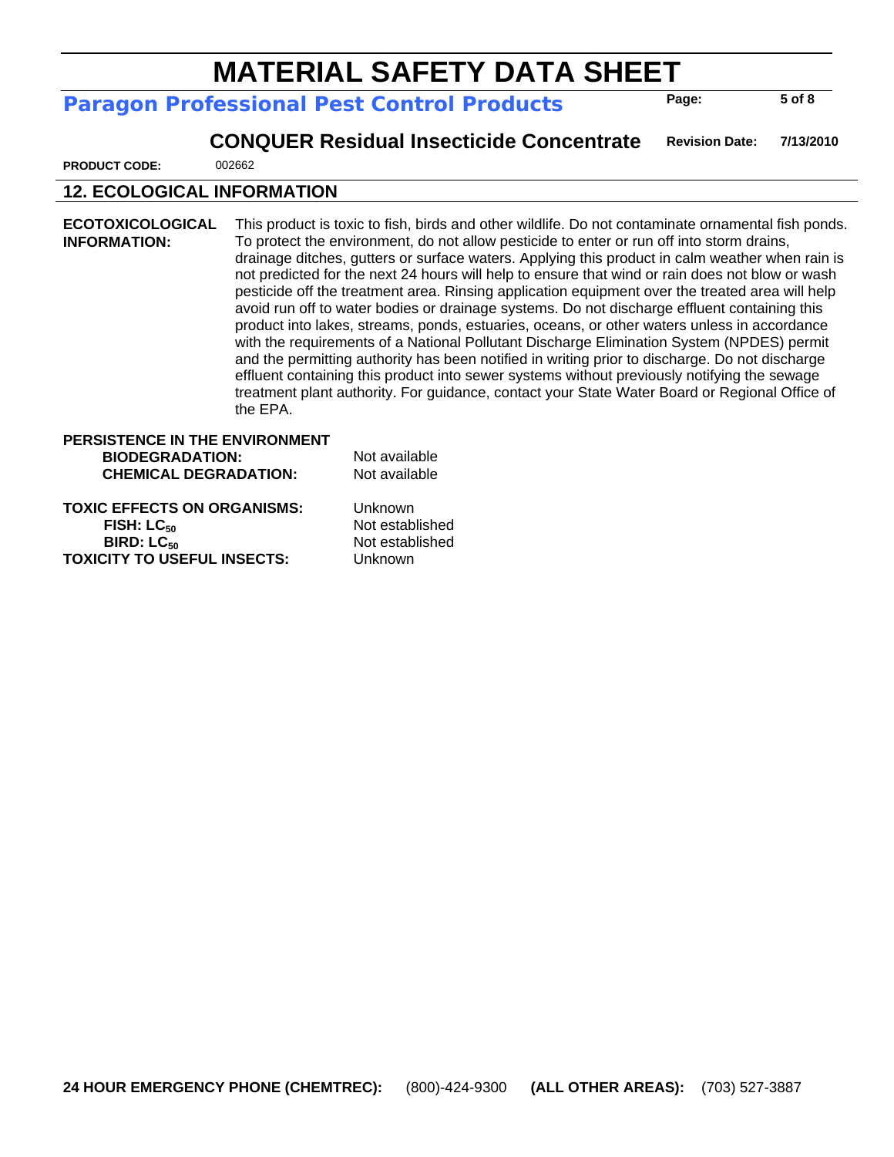## **Paragon Professional Pest Control Products**

**Page:** 

**5 of 8** 

 **CONQUER Residual Insecticide Concentrate Revision Date: 7/13/2010** 

**PRODUCT CODE:** 002662

## **12. ECOLOGICAL INFORMATION**

**ECOTOXICOLOGICAL INFORMATION:**  This product is toxic to fish, birds and other wildlife. Do not contaminate ornamental fish ponds. To protect the environment, do not allow pesticide to enter or run off into storm drains, drainage ditches, gutters or surface waters. Applying this product in calm weather when rain is not predicted for the next 24 hours will help to ensure that wind or rain does not blow or wash pesticide off the treatment area. Rinsing application equipment over the treated area will help avoid run off to water bodies or drainage systems. Do not discharge effluent containing this product into lakes, streams, ponds, estuaries, oceans, or other waters unless in accordance with the requirements of a National Pollutant Discharge Elimination System (NPDES) permit and the permitting authority has been notified in writing prior to discharge. Do not discharge effluent containing this product into sewer systems without previously notifying the sewage treatment plant authority. For guidance, contact your State Water Board or Regional Office of the EPA.

### **PERSISTENCE IN THE ENVIRONMENT BIODEGRADATION:** Not available **CHEMICAL DEGRADATION:** Not available

**TOXIC EFFECTS ON ORGANISMS:** Unknown **FISH: LC<sub>50</sub>** Not established<br> **BIRD: LC**<sub>50</sub> Not established<br>
Not established **TOXICITY TO USEFUL INSECTS:** Unknown

**Not established**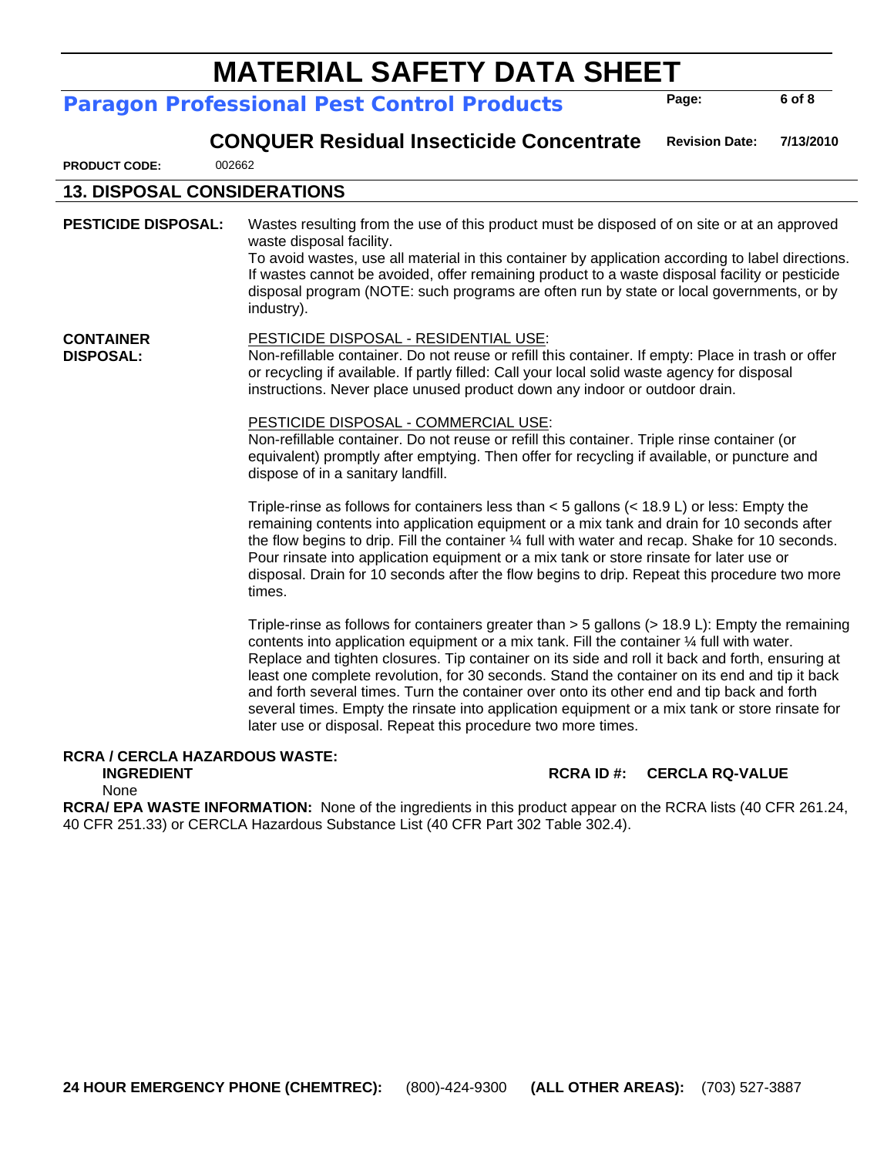#### **Paragon Professional Pest Control Products**

 **CONQUER Residual Insecticide Concentrate Revision Date: 7/13/2010** 

**PRODUCT CODE:** 002662

**DISPOSAL:** 

#### **13. DISPOSAL CONSIDERATIONS**

**PESTICIDE DISPOSAL:** Wastes resulting from the use of this product must be disposed of on site or at an approved waste disposal facility. To avoid wastes, use all material in this container by application according to label directions. If wastes cannot be avoided, offer remaining product to a waste disposal facility or pesticide disposal program (NOTE: such programs are often run by state or local governments, or by industry). **CONTAINER**  PESTICIDE DISPOSAL - RESIDENTIAL USE:

Non-refillable container. Do not reuse or refill this container. If empty: Place in trash or offer or recycling if available. If partly filled: Call your local solid waste agency for disposal instructions. Never place unused product down any indoor or outdoor drain.

#### PESTICIDE DISPOSAL - COMMERCIAL USE:

Non-refillable container. Do not reuse or refill this container. Triple rinse container (or equivalent) promptly after emptying. Then offer for recycling if available, or puncture and dispose of in a sanitary landfill.

Triple-rinse as follows for containers less than  $<$  5 gallons ( $<$  18.9 L) or less: Empty the remaining contents into application equipment or a mix tank and drain for 10 seconds after the flow begins to drip. Fill the container ¼ full with water and recap. Shake for 10 seconds. Pour rinsate into application equipment or a mix tank or store rinsate for later use or disposal. Drain for 10 seconds after the flow begins to drip. Repeat this procedure two more times.

Triple-rinse as follows for containers greater than > 5 gallons (> 18.9 L): Empty the remaining contents into application equipment or a mix tank. Fill the container ¼ full with water. Replace and tighten closures. Tip container on its side and roll it back and forth, ensuring at least one complete revolution, for 30 seconds. Stand the container on its end and tip it back and forth several times. Turn the container over onto its other end and tip back and forth several times. Empty the rinsate into application equipment or a mix tank or store rinsate for later use or disposal. Repeat this procedure two more times.

## **RCRA / CERCLA HAZARDOUS WASTE:**

**INGREDIENT RCRA ID #: CERCLA RQ-VALUE** 

**Page:** 

**6 of 8** 

None

**RCRA/ EPA WASTE INFORMATION:** None of the ingredients in this product appear on the RCRA lists (40 CFR 261.24, 40 CFR 251.33) or CERCLA Hazardous Substance List (40 CFR Part 302 Table 302.4).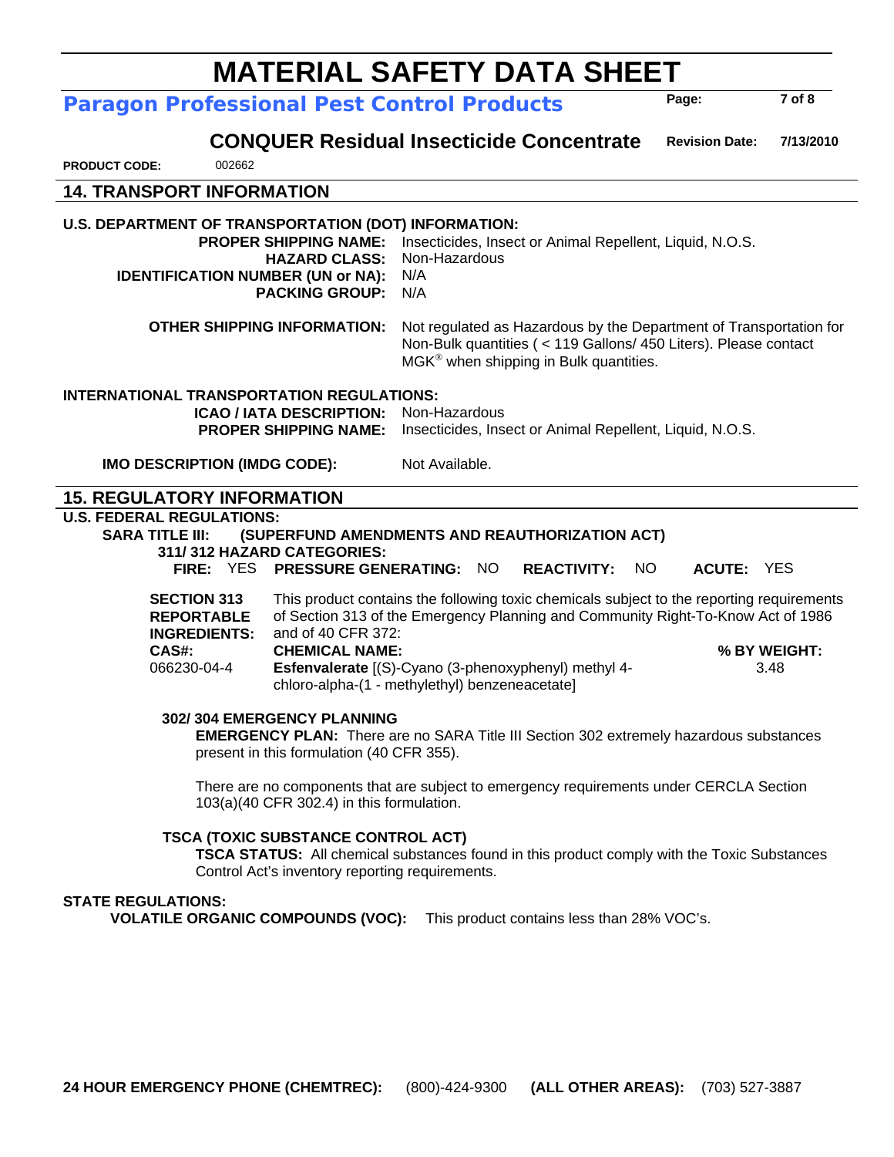#### **24 HOUR EMERGENCY PHONE (CHEMTREC):** (800)-424-9300 **(ALL OTHER AREAS):** (703) 527-3887

## **MATERIAL SAFETY DATA SHEET**

**Paragon Professional Pest Control Products** 

 **CONQUER Residual Insecticide Concentrate Revision Date: 7/13/2010** 

**PRODUCT CODE:** 002662

### **14. TRANSPORT INFORMATION U.S. DEPARTMENT OF TRANSPORTATION (DOT) INFORMATION: PROPER SHIPPING NAME:** Insecticides, Insect or Animal Repellent, Liquid, N.O.S. **HAZARD CLASS:** Non-Hazardous **IDENTIFICATION NUMBER (UN or NA):** N/A **PACKING GROUP:** N/A **OTHER SHIPPING INFORMATION:** Not regulated as Hazardous by the Department of Transportation for Non-Bulk quantities ( < 119 Gallons/ 450 Liters). Please contact  $M G K^{\circ}$  when shipping in Bulk quantities. **INTERNATIONAL TRANSPORTATION REGULATIONS: ICAO / IATA DESCRIPTION:** Non-Hazardous **PROPER SHIPPING NAME:** Insecticides, Insect or Animal Repellent, Liquid, N.O.S. **IMO DESCRIPTION (IMDG CODE):** Not Available. **15. REGULATORY INFORMATION U.S. FEDERAL REGULATIONS: SARA TITLE III: (SUPERFUND AMENDMENTS AND REAUTHORIZATION ACT) 311/ 312 HAZARD CATEGORIES: FIRE:** YES **PRESSURE GENERATING:** NO **REACTIVITY:** NO **ACUTE:** YES **SECTION 313 REPORTABLE INGREDIENTS:**  This product contains the following toxic chemicals subject to the reporting requirements of Section 313 of the Emergency Planning and Community Right-To-Know Act of 1986 and of 40 CFR 372:  **CAS#: CHEMICAL NAME: % BY WEIGHT:**  066230-04-4 **Esfenvalerate** [(S)-Cyano (3-phenoxyphenyl) methyl 4 chloro-alpha-(1 - methylethyl) benzeneacetate] 3.48 **302/ 304 EMERGENCY PLANNING EMERGENCY PLAN:** There are no SARA Title III Section 302 extremely hazardous substances present in this formulation (40 CFR 355). There are no components that are subject to emergency requirements under CERCLA Section 103(a)(40 CFR 302.4) in this formulation. **TSCA (TOXIC SUBSTANCE CONTROL ACT) TSCA STATUS:** All chemical substances found in this product comply with the Toxic Substances Control Act's inventory reporting requirements. **STATE REGULATIONS: VOLATILE ORGANIC COMPOUNDS (VOC):** This product contains less than 28% VOC's.

**7 of 8** 

**Page:**